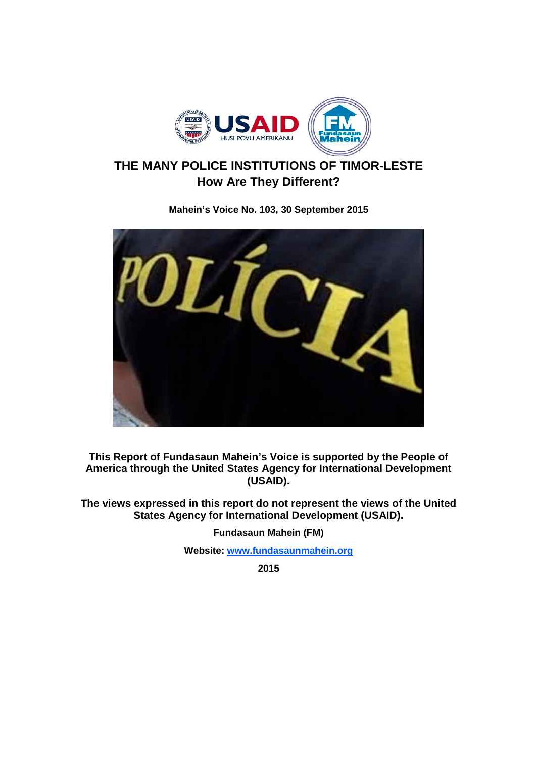

# **THE MANY POLICE INSTITUTIONS OF TIMOR-LESTE How Are They Different?**

**Mahein's Voice No. 103, 30 September 2015**



**This Report of Fundasaun Mahein's Voice is supported by the People of America through the United States Agency for International Development (USAID).**

**The views expressed in this report do not represent the views of the United States Agency for International Development (USAID).**

**Fundasaun Mahein (FM)**

**Website: www.fundasaunmahein.org**

**2015**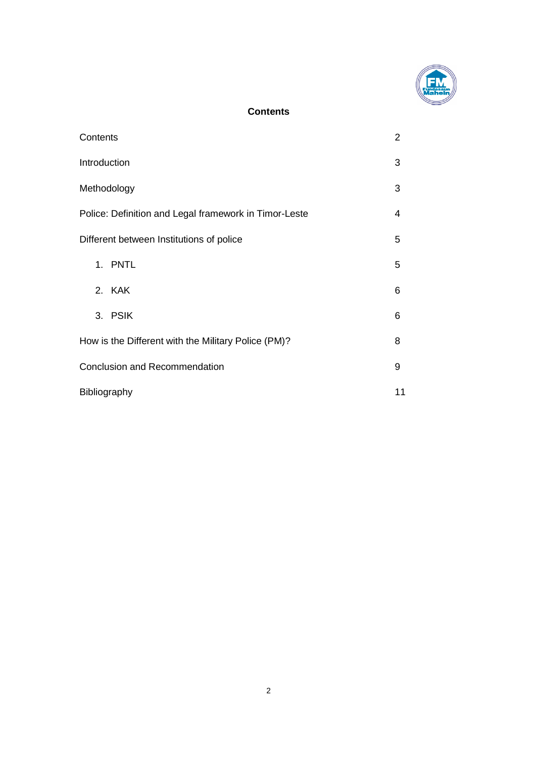

## **Contents**

| Contents                                              | $\overline{2}$ |
|-------------------------------------------------------|----------------|
| Introduction                                          | 3              |
| Methodology                                           | 3              |
| Police: Definition and Legal framework in Timor-Leste | 4              |
| Different between Institutions of police              | 5              |
| 1. PNTL                                               | 5              |
| 2. KAK                                                | 6              |
| 3. PSIK                                               | 6              |
| How is the Different with the Military Police (PM)?   | 8              |
| <b>Conclusion and Recommendation</b>                  | 9              |
| Bibliography                                          | 11             |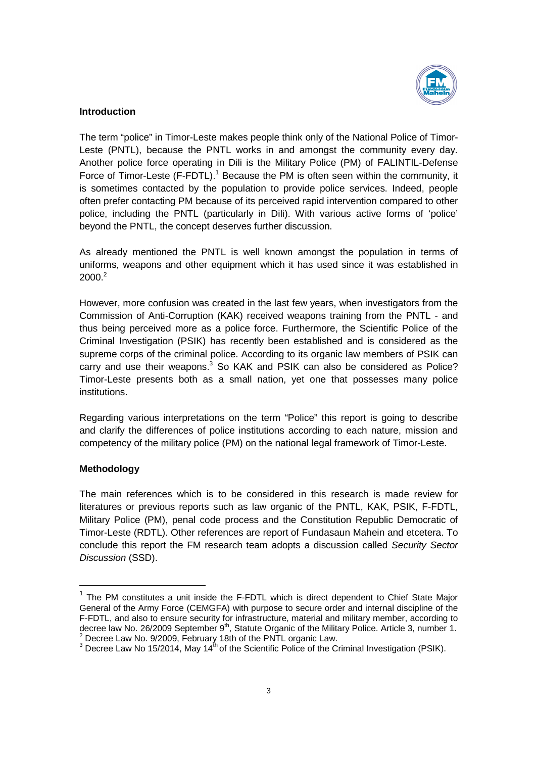

## **Introduction**

The term "police" in Timor-Leste makes people think only of the National Police of Timor-Leste (PNTL), because the PNTL works in and amongst the community every day. Leste (PNTL), because the PNTL works in and amongst the community every day.<br>Another police force operating in Dili is the Military Police (PM) of FALINTIL-Defense The term "police" in Timor-Leste makes people think only of the National Police of Timor-Leste (PNTL), because the PNTL works in and amongst the community every day.<br>Another police force operating in Dili is the Military P is sometimes contacted by the population to provide police services. Indeed, people often prefer contacting PM because of its perceived rapid intervention compared to other police, including the PNTL (particularly in Dili). With various active forms of 'police' beyond the PNTL, the concept deserves further discussion. by the population to provide police services. Indeed, people<br>A because of its perceived rapid intervention compared to other<br>TL (particularly in Dili). With various active forms of 'police' Force of Timor-Leste (F-FDTL).<sup>1</sup> Because the PM is often seen within the community, it<br>is sometimes contacted by the population to provide police services. Indeed, people<br>often prefer contacting PM because of its perceive

As already mentioned the PNTL is well known amongst the population in terms of uniforms, weapons and other equipment which it has used since it was established in  $2000.<sup>2</sup>$ 

However, more confusion was created in the last few years, when investigators from the Commission of Anti-Corruption (KAK) received weapons training from the PNTL thus being perceived more as a police force. Furthermore, the Scientific Police of the Criminal Investigation (PSIK) has recently been established and is considered as the supreme corps of the criminal police. According to its organic law members of PSIK can carry and use their weapons. $3$  So KAK and PSIK can also be considered as Police? Timor-Leste presents both as a small nation, yet one that possesses many police institutions. Timor-Leste presents both as a small nation, yet one that possesses many police<br>institutions.<br>Regarding various interpretations on the term "Police" this report is going to describe already mentioned the PNTL is well known amongst the population in terms of orms, weapons and other equipment which it has used since it was established in 0.<sup>2</sup><br>0.<sup>2</sup><br>wever, more confusion was created in the last few year thus being perceived more as a police force. Furthermore, the Scientific Police of the Criminal Investigation (PSIK) has recently been established and is considered as the supreme corps of the criminal police. According to

and clarify the differences of police institutions according to each nature, mission and and clarify the differences of police institutions according to each nature, mission<br>competency of the military police (PM) on the national legal framework of Timor-Lest

## **Methodology**

The main references which is to be considered in this research is made review for literatures or previous reports such as law organic of the PNTL, KAK, PSIK, F-FDTL, Military Police (PM), penal code process and the Constitution Republic Democratic of Military Police (PM), penal code process and the Constitution Republic Democratic of<br>Timor-Leste (RDTL). Other references are report of Fundasaun Mahein and etcetera. To conclude this report the FM research team adopts a discussion called Security Sector *Discussion* (SSD).

THE PM constitutes a unit inside the F-FDTL which is direct dependent to Chief State Major General of the Army Force (CEMGFA) with purpose to secure order and internal discipline of the General of the Army Force (CEMGFA) with purpose to secure order and internal discipline of the<br>F-FDTL, and also to ensure security for infrastructure, material and military member, according to <sup>1</sup> The PM constitutes a unit inside the F-FDTL which is direct dependent to Chief State Ma<br>General of the Army Force (CEMGFA) with purpose to secure order and internal discipline of t<br>F-FDTL, and also to ensure security decree law No. 26/2009 September 9<sup>th</sup>, Statute Organic of the Military Police. Article 3, number 1.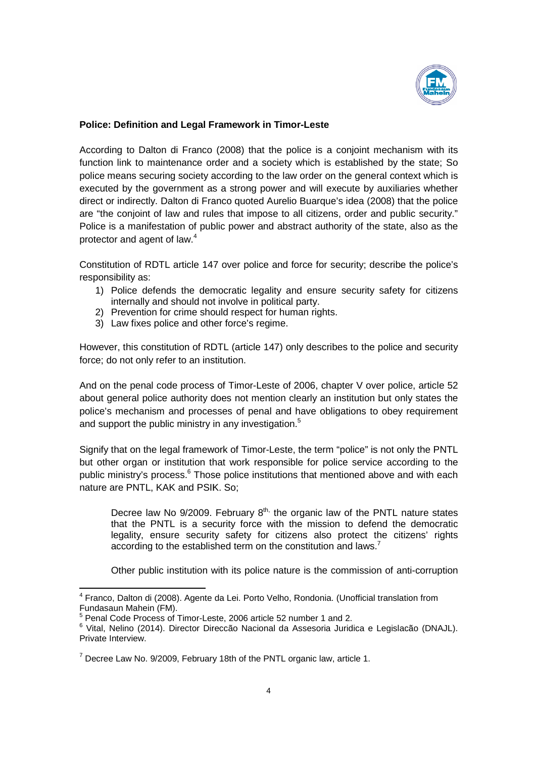

## **Police: Definition and Legal Framework in Timor Timor-Leste**

According to Dalton di Franco (2008) that the police is a conjoint mechanism with its According to Dalton di Franco (2008) that the police is a conjoint mechanism with its<br>function link to maintenance order and a society which is established by the state; So police means securing society according to the law order on the general context which is executed by the government as a strong power and will execute by auxiliaries wh direct or indirectly. Dalton di Franco quoted Aurelio Buarque's idea (2008) that the police are "the conjoint of law and rules that impose to all citizens, order and public security." Police is a manifestation of public power and abstract authority of the state, also as the protector and agent of law.<sup>4</sup> police means securing society according to the law order on the general context which is executed by the government as a strong power and will execute by auxiliaries whether direct or indirectly. Dalton di Franco quoted Au direct or indirectly. Dalton di Franco quoted Aurelio Buarque's idea (2008) that the police<br>are "the conjoint of law and rules that impose to all citizens, order and public security."<br>Police is a manifestation of public po

Constitution of RDTL article 147 over police and force for security: describe the police's responsibility as:

- 1) Police defends the democratic legality and ensure security safety for citizens internally and should not involve in political party.
- 2) Prevention for crime should respect for human rights.
- 3) Law fixes police and other force's regime.

internally and should not involve in political party.<br>
2) Prevention for crime should respect for human rights.<br>
3) Law fixes police and other force's regime.<br>
However, this constitution of RDTL (article 147) only describe force; do not only refer to an institution.

And on the penal code process of And on the penal code process of Timor-Leste of 2006, chapter V over police, article 52 about general police authority does not mention clearly an institution but only states the police's mechanism and processes of penal and have obligations to obey requirement<br>and support the public ministry in any investigation.<sup>5</sup> and support the public ministry in any investigation. However, this constitution of RDTL (article 147) only describes to the police and security<br>force; do not only refer to an institution.<br>And on the penal code process of Timor-Leste of 2006, chapter V over police, article 52

Signify that on the legal framework of Timor-Leste, the term "police" is not only but other organ or institution that work responsible for police service according to the public ministry's process.<sup>6</sup> Those police institutions that mentioned above and with each<br>nature are PNTL, KAK and PSIK. So; nature are PNTL, KAK and PSIK.

Decree law No  $9/2009$ . February  $8<sup>th</sup>$ , the organic law of the PNTL nature states that the PNTL is a security force with the mission to defend the democratic that the PNTL is a security force with the mission to defend the democratic<br>legality, ensure security safety for citizens also protect the citizens' rights according to the established term on the constitution and laws.<sup>7</sup> process.<sup>6</sup> Those police institutions that mentioned above and with each, KAK and PSIK. So;<br>aw No 9/2009. February 8<sup>th,</sup> the organic law of the PNTL nature states<br>PNTL is a security force with the mission to defend the d

Other public institution with its police nature is the commission of anti

<sup>4</sup> Franco, Dalton di (2008). Agente da Lei. Porto Velho, Rondonia. (Unofficial translation from Fundasaun Mahein (FM). o, Dalton di (2008). Agente da Lei. Porto Velho, Rondonia. (Unofficial<br>aun Mahein (FM).<br>Code Process of Timor-Leste, 2006 article 52 number 1 and 2.<br>Nelino (2014). Director Direccão Nacional da Assesoria Juridica e

<sup>&</sup>lt;sup>5</sup> Penal Code Process of Timor-Leste, 2006 article 52 number 1 and 2.

<sup>&</sup>lt;sup>6</sup> Vital, Nelino (2014). Director Direccão Nacional da Assesoria Juridica e Legislacão (DNAJL).<br>Private Interview.<br><sup>7</sup> Decree Law No. 9/2009, February 18th of the PNTL organic law, article 1. Private Interview.

 $7$  Decree Law No. 9/2009, February 18th of the PNTL organic law, article 1.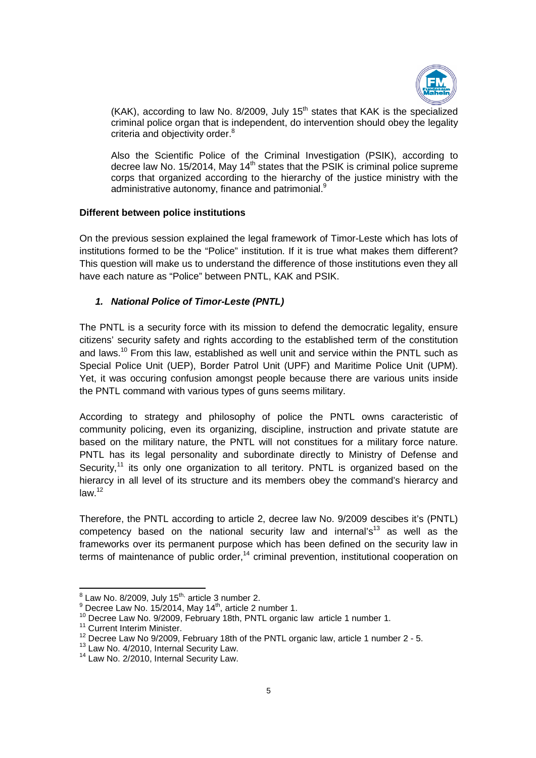

(KAK), according to law No. 8/2009, July  $15<sup>th</sup>$  states that KAK is the specialized criminal police organ that is independent, do intervention should obey the legality criteria and objectivity order.<sup>8</sup>

Also the Scientific Police of the Criminal Investigation (PSIK), according to decree law No. 15/2014, May 14<sup>th</sup> states that the PSIK is criminal police supreme corps that organized according to corps that organized according to the hierarchy of the justice ministry with the administrative autonomy, finance and patrimonial.<sup>9</sup> corps that organized according to the hierarchy of the justice ministry with the<br>administrative autonomy, finance and patrimonial.<sup>9</sup><br>Different between police institutions<br>On the previous session explained the legal framew

#### **Different between police institutions ferent**

institutions formed to be the "Police" institution. If it is true what makes them different? This question will make us to understand the difference of those institutions even<br>have each nature as "Police" between PNTL, KAK and PSIK. have each nature as "Police" between PNTL, KAK and PSIK. institutions formed to be the "Police" institution. If it is true what makes them different?<br>This question will make us to understand the difference of those institutions even they all

## *1. National Police of Timor Timor-Leste (PNTL)*

The PNTL is a security force with its mission to defend the democratic legality, ensure citizens' security safety and rights according to the established term of the constitution and laws.<sup>10</sup> From this law, established as well unit and service within the PNTL such as Special Police Unit (UEP), Border Patrol Unit (UPF) and Maritime Police Unit (UPM). Yet, it was occuring confusion amongst people because there are various units inside the PNTL command with various types of guns seems military. and laws.<sup>10</sup> From this law, established as well unit and service within the PNTL such as<br>Special Police Unit (UEP), Border Patrol Unit (UPF) and Maritime Police Unit (UPM).<br>Yet, it was occuring confusion amongst people be and laws.<sup>10</sup> From this law, established as well unit and service within the PNTL such as<br>Special Police Unit (UEP), Border Patrol Unit (UPF) and Maritime Police Unit (UPM).<br>Yet, it was occuring confusion amongst people be

According to strategy and philosophy of police the PNTL owns caracteristic of community policing, even its organizing, discipline, instruction and private statute based on the military nature, the PNTL will not constitues for a military force nature. PNTL has its legal personality and subordinate directly to Ministry of Defense and based on the military nature, the PNTL will not constitues for a military force nature.<br>PNTL has its legal personality and subordinate directly to Ministry of Defense and<br>Security,<sup>11</sup> its only one organization to all teri hierarcy in all level of its structure and its members obey the command's hierarcy and  $law<sup>12</sup>$ philosophy of police the PNTL owns caracteristic of organizing, discipline, instruction and private statute are the PNTL will not constitues for a military force nature.

Therefore, the PNTL according to article 2, decree law No. 9/2009 descibes it's (PNTL) competency based on the national security law and internal's<sup>13</sup> as well as the frameworks over its permanent purpose which has been defined on the security law in frameworks over its permanent purpose which has been defined on the security law in<br>terms of maintenance of public order,<sup>14</sup> criminal prevention, institutional cooperation on order,<sup>14</sup> criminal prevention, institutional cooper<br>
number 2.<br>
, article 2 number 1.<br>
18th, PNTL organic law article 1 number 1.<br>
18th of the PNTL organic law, article 1 number 2 - 5.

 $^8$  Law No. 8/2009, July 15<sup>th,</sup> article 3 number 2.

 $^9$  Decree Law No. 15/2014, May 14<sup>th</sup>, article 2 number 1.

<sup>&</sup>lt;sup>10</sup> Decree Law No. 9/2009, February 18th, PNTL organic law article 1 number 1.

<sup>&</sup>lt;sup>9</sup> Decree Law No. 15/2014, May 14<sup>th</sup>, article 2 number 1.<br><sup>10</sup> Decree Law No. 9/2009, February 18th, PNTL organic law article 1 number 1.<br><sup>11</sup> Current Interim Minister.<br><sup>12</sup> Decree Law No 9/2009, February 18th of the PN

 $13$  Law No. 4/2010, Internal Security Law.

<sup>&</sup>lt;sup>14</sup> Law No. 2/2010, Internal Security Law.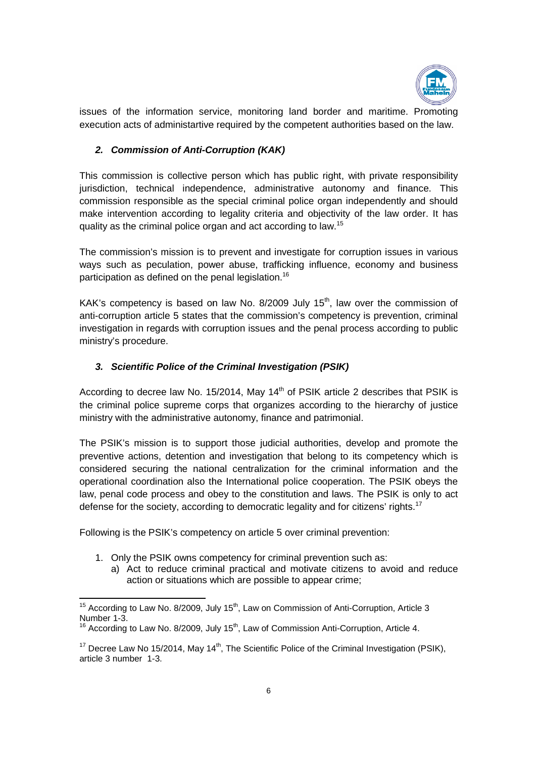

issues of the information service, monitoring land border and maritime. Promoting execution acts of administartive required by the competent authorities based on the law.

# *2. Commission of Anti-Corruption Corruption (KAK)*

This commission is collective person which has public right, with private responsibility jurisdiction, technical independence, administrative autonomy and finance. This commission responsible as the special criminal police organ independently and should make intervention according to legality criteria and objectivity of the law order. It has quality as the criminal police organ and act according to law.<sup>15</sup> jurisdiction, technical independence, administrative autonomy and finance. This<br>commission responsible as the special criminal police organ independently and should<br>make intervention according to legality criteria and obje

The commission's mission is to prevent and investigate for corruption issues s in various ways such as peculation, power abuse, trafficking influence, economy and business<br>participation as defined on the penal legislation.<sup>16</sup> participation as defined on the penal legislation.

KAK's competency is based on law No. 8/2009 July  $15<sup>th</sup>$ , law over the commission of anti-corruption article 5 states that the commission's competency is prevention, investigation in regards with corruption issues and the penal process according to public ministry's procedure. investigation in regards with corruption issues and the penal process according to public<br>ministry's procedure.<br>**3. Scientific Police of the Criminal Investigation (PSIK)**<br>According to decree law No. 15/2014, May 14<sup>th</sup> of ways such as peculation, power abuse, trafficking influence, economy and business<br>participation as defined on the penal legislation.<sup>16</sup><br>KAK's competency is based on law No. 8/2009 July 15<sup>th</sup>, law over the commission of<br>a

## 3. Scientific Police of the Criminal Investigation (PSIK)

the criminal police supreme corps that organizes according to the hierarchy of justice ministry with the administrative autonomy, finance and patrimonial.

ministry with the administrative autonomy, finance and patrimonial.<br>The PSIK's mission is to support those judicial authorities, develop and promote the preventive actions, detention and investigation that belong to its competency which is considered securing the national centralization for the criminal information and the operational coordination also the International police cooperation. The PSIK obeys the law, penal code process and obey to the constitution and laws. The PSIK is only to act tion that belong to its competency which<br>tation for the criminal information and tl<br>nal police cooperation. The PSIK obeys tl<br>positiution and laws. The PSIK is only to a<br>ratic legality and for citizens' rights.<sup>17</sup>

defense for the society, according to democratic legality and for citizens' rights.<br>Following is the PSIK's competency on article 5 over criminal prevention: Following is the PSIK's competency on article 5 over criminal prevention

- 1. Only the PSIK owns competency for criminal prevention such as:
	- a) Act to reduce criminal practical and motivate citizens to avoid and reduce Act to reduce criminal practical and motivate citizens<br>action or situations which are possible to appear crime; Act to reduce criminal practical and motivate citizens to avoid and redu<br>action or situations which are possible to appear crime;<br>to Law No. 8/2009, July 15<sup>th</sup>, Law on Commission of Anti-Corruption, Article 3<br>to Law No.

<sup>15&</sup>lt;br><sup>15</sup> According to Law No. 8/2009, July 15<sup>th</sup>, Law on Commission of Anti-Corruption, Article 3 Number 1-3.<br><sup>16</sup> According to Law No. 8/2009, July 15<sup>th</sup>, Law of Commission Anti-Corruption, Article 4.

 $17$  Decree Law No 15/2014, May 14<sup>th</sup>, The Scientific Police of the Criminal Investigation article 3 number 1-3.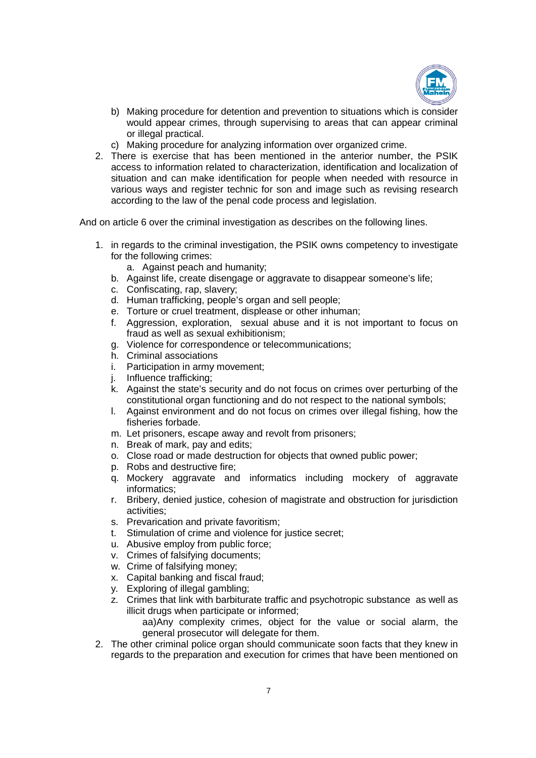

- b) Making procedure for detention and prevention to situations which is consider would appear crimes, through supervising to areas that can appear criminal or illegal practical. b) Making procedure for detention and prevention to situations which is consider<br>would appear crimes, through supervising to areas that can appear criminal<br>or illegal practical.<br>c) Making procedure for analyzing informatio
	- c) Making procedure for analyzing information over organized crime.
- access to information related to characterization, identification and localization of situation and can make identification for people when needed with resource in various ways and register technic for son and image such as revising research according to the law of the penal code process and legislation. access to information related to characterization, identification and localization<br>situation and can make identification for people when needed with resource<br>various ways and register technic for son and image such as revi

according to the law of the penal code process and legislation.<br>And on article 6 over the criminal investigation as describes on the following lines.

- 1. in regards to the criminal investigation, the PSIK owns competency to investigate for the following crimes: Forthermal investigation as describes on the following lines.<br>
criminal investigation, the PSIK owns competency to investigate<br>
crimes:<br>
each and humanity;<br>
create disengage or aggravate to disappear someone's life;<br>
rap,
	- a. Against peach and humanity;
	- b. Against life, create disengage or aggravate to disappear someone's life;
	- c. Confiscating, rap, slavery;
	- d. Human trafficking, people's organ and sell people;
	- e. Torture or cruel treatment, displease or other inhuman;
	- f. Aggression, exploration, sexual abuse and it is not important to focus<br>fraud as well as sexual exhibitionism;<br>g. Violence for correspondence or telecommunications; fraud as well as sexual exhibitionism;
	- g. Violence for correspondence or telecommunication
	- h. Criminal associations
	- i. Participation in army movement;
	- j. Influence trafficking;
	- i. Participation in army movement;<br>j. Influence trafficking;<br>k. Against the state's security and do not focus on crimes over perturbing of the constitutional organ functioning and do not respect to the national symbols;
	- constitutional organ functioning and do not respect to the national symbols;<br>I. Against environment and do not focus on crimes over illegal fishing, how the fisheries forbade. Against the state's security and do not focus on crimes over perturbing of the<br>constitutional organ functioning and do not respect to the national symbols;<br>Against environment and do not focus on crimes over illegal fishin
	- m. Let prisoners, escape away and revolt from prisoners;
	- n. Break of mark, pay and edits;
	- o. Close road or made destruction for objects that owned public power; mark, pay and edits;<br>ad or made destruction for objects that<br>d destructive fire;
	- p. Robs and destructive fire;
	- q. Mockery aggravate and informatics including mockery of informatics;
	- r. Bribery, denied justice, cohesion of magistrate and obstruction for jurisdiction<br>
	activities;<br>
	s. Prevarication and private favoritism;<br>
	t. Stimulation of crime and violence for justice secret;<br>
	u. Abusive employ from p activities;
	- s. Prevarication and private favoritism;
	- t. Stimulation of crime and violence for justice secret;
	- u. Abusive employ from public force;
	- v. Crimes of falsifying documents;
	- w. Crime of falsifying money;
	- x. Capital banking and fiscal fraud;
	- y. Exploring of illegal gambling;
	- z. Crimes that link with barbiturate traffic and psychotropic substance as well as illicit drugs when participate or informed; Exploring of illegal gambling;<br>Crimes that link with barbiturate traffic and psychotropic substance as well as<br>illicit drugs when participate or informed;<br>aa)Any complexity crimes, object for the value or social alarm, the r. Bribery, denied justice, cohesion of magistrate and obs<br>activities;<br>s. Prevarication and private favoritism;<br>t. Stimulation of crime and violence for justice secret;<br>u. Abusive employ from public force;<br>v. Crimes of fal
		- aa)Any complexity crimes, object for the value or social alarm, the general prosecutor will delegate for them.
- 2. The other criminal police organ should communicate soon facts that they knew in general prosecutor will delegate for them.<br>The other criminal police organ should communicate soon facts that they knew in<br>regards to the preparation and execution for crimes that have been mentioned on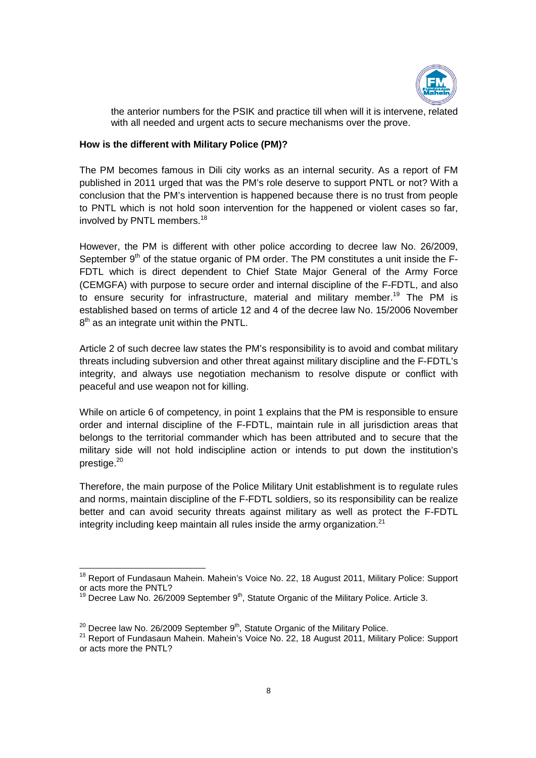

the anterior numbers for the PSIK and practice till when will it is intervene, related with all needed and urgent acts to secure mechanisms over the prove. the anterior numbers for the PSIK and practice till when will it is intervene, related<br>with all needed and urgent acts to secure mechanisms over the prove.<br>How is the different with Military Police (PM)?<br>The PM becomes fam

#### **How is the different with Military Police (PM)?**

published in 2011 urged that was the PM's role deserve to support PNTL or not? With a conclusion that the PM's intervention is happened because there is no trust from people to PNTL which is not hold soon intervention for the happened or violent case involved by PNTL members.<sup>18</sup> conclusion that the PM's intervention is happened because there is no trust from people<br>to PNTL which is not hold soon intervention for the happened or violent cases so far,<br>involved by PNTL members.<sup>18</sup>

However, the PM is different with other police according to decree law No. 26/2009, September 9<sup>th</sup> of the statue organic of PM order. The PM constitutes a unit inside the F-FDTL which is direct dependent to Chief State Major General of the Army Force FDTL which is direct dependent to Chief State Major General of the Army Force<br>(CEMGFA) with purpose to secure order and internal discipline of the F-FDTL, and also to ensure security for infrastructure, material and military member.<sup>19</sup> The PM is established based on terms of article 12 and 4 of the decree law No. 15/2006 November  $8<sup>th</sup>$  as an integrate unit within the PNTL. FDTL which is direct dependent to Chief State Major General of the Army Force (CEMGFA) with purpose to secure order and internal discipline of the F-FDTL, and also to ensure security for infrastructure, material and milita

Article 2 of such decree law states the PM's responsibility is to avoid and combat military established based on terms of article 12 and 4 of the decree law No. 15/2006 November<br>
8<sup>th</sup> as an integrate unit within the PNTL.<br>
Article 2 of such decree law states the PM's responsibility is to avoid and combat militar integrity, and always use negotiation mechanism to resolve dispute or conflict with peaceful and use weapon not for killing. integrity, and always use negotiation mechanism to resolve dispute or conflict with<br>peaceful and use weapon not for killing.<br>While on article 6 of competency, in point 1 explains that the PM is responsible to ensure

order and internal discipline of the F F-FDTL, maintain rule in all jurisdiction areas that belongs to the territorial commander which has been attributed and to secure that the<br>military side will not hold indiscipline action or intends to put down the institution's military side will not hold indiscipline action or intends to put down the institution's prestige.20

Therefore, the main purpose of the Police Military Unit establishment is to regulate rules Therefore, the main purpose of the Police Military Unit establishment is to regulate rules<br>and norms, maintain discipline of the F-FDTL soldiers, so its responsibility can be realize better and can avoid security threats against military as well as protect the F-FDTL better and can avoid security threats against military as well as protect integrity including keep maintain all rules inside the army organization.<sup>21</sup> belongs to the territorial commander which has been attributed and to secure that the military side will not hold indiscipline action or intends to put down the institution's prestige.<sup>20</sup><br>Therefore, the main purpose of th

nd and the manusity of the mattem of the mattem of the mattem of the mattem of the mattem of the Report of Report<br>A Report of Fundasaun Mahein. Mahein's Voice No. 22, 18 August 2011, Military Police: Support or acts more the PNTL?

<sup>&</sup>lt;sup>19</sup> Decree Law No. 26/2009 September 9<sup>th</sup>, Statute Organic of the Military Police. Article 3.

 $^{20}$  Decree law No. 26/2009 September 9<sup>th</sup>, Statute Organic of the Military Police.

<sup>&</sup>lt;sup>20</sup> Decree law No. 26/2009 September 9<sup>th</sup>, Statute Organic of the Military Police.<br><sup>21</sup> Report of Fundasaun Mahein. Mahein's Voice No. 22, 18 August 2011, Military Police: Support or acts more the PNTL?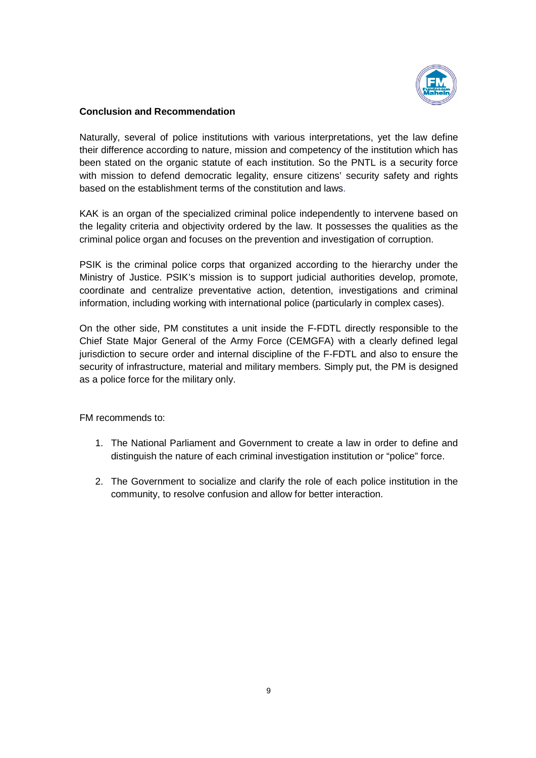

## **Conclusion and Recommendation Recommendation**

Naturally, several of police institutions with various interpretations, yet the law their difference according to nature, mission and competency of the institution which has been stated on the organic statute of each institution. So the PNTL is a security force their difference according to nature, mission and competency of the institution which has<br>been stated on the organic statute of each institution. So the PNTL is a security force<br>with mission to defend democratic legality, based on the establishment terms of the constitution and laws.

KAK is an organ of the specialized criminal police independently to intervene based on the legality criteria and objectivity ordered by the law. It possesses the qualities as the criminal police organ and focuses on the prevention and investigation of corruption.

PSIK is the criminal police corps that organized according to the hierarchy under the Ministry of Justice. PSIK's mission is to support judicial authorities develop, promote, coordinate and centralize preventative action, detention, investigations and criminal information, including working with international police (particularly in complex cases). criteria and objectivity ordered by the law. It possesses the qualities as the ce organ and focuses on the prevention and investigation of corruption.<br>
criminal police corps that organized according to the hierarchy under criminal police organ and focuses on the prevention and investigation of corruption.<br>PSIK is the criminal police corps that organized according to the hierarchy under the<br>Ministry of Justice. PSIK's mission is to support j

On the other side, PM constitutes a unit inside the F-FDTL directly responsible to the Chief State Major General of the Army Force (CEMGFA) with a clearly defined legal Chief State Major General of the Army Force (CEMGFA) with a clearly defined legal<br>jurisdiction to secure order and internal discipline of the F-FDTL and also to ensure the security of infrastructure, material and military members. Simply put, the PM is designed as a police force for the military only. institutions with various interpretations, yet the law define<br>nature, mission and competency of the institution which has<br>statute of each institution. So the PNTL is a security force<br>nocratic legality, ensure citizens' sec coordinate and centralize preventative action, detention, investigations and criminal<br>information, including working with international police (particularly in complex cases).<br>On the other side, PM constitutes a unit insid

FM recommends to:

- 1. The National Parliament and Government to create a law in order to define and distinguish the nature of each criminal investigation institution or "police" force. military only.<br>rliament and Government to create a law in order to define<br>ature of each criminal investigation institution or "police" force
- 2. The Government to socialize and clarify the role of each police institution in the community, to resolve confusion and allow for better interaction.